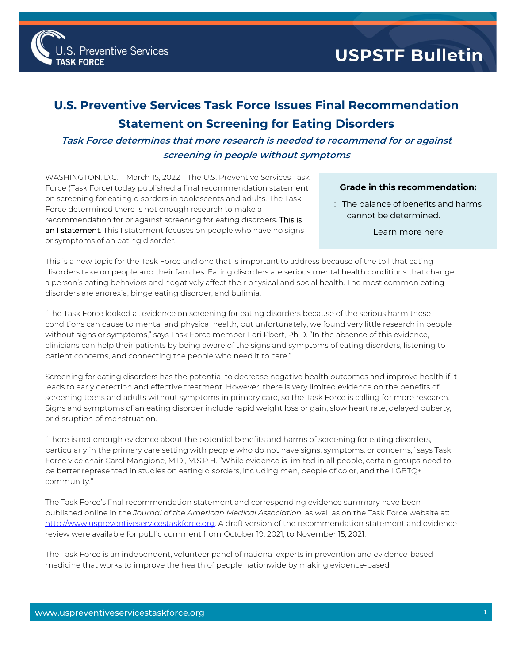

## **U.S. Preventive Services Task Force Issues Final Recommendation Statement on Screening for Eating Disorders**

**Task Force determines that more research is needed to recommend for or against screening in people without symptoms**

WASHINGTON, D.C. – March 15, 2022 – The U.S. Preventive Services Task Force (Task Force) today published a final recommendation statement on screening for eating disorders in adolescents and adults. The Task Force determined there is not enough research to make a recommendation for or against screening for eating disorders. This is an I statement. This I statement focuses on people who have no signs or symptoms of an eating disorder.

Preventive Services

## **Grade in this recommendation:**

I: The balance of benefits and harms cannot be determined.

[Learn more here](http://www.uspreventiveservicestaskforce.org/Page/Name/grade-definitions)

This is a new topic for the Task Force and one that is important to address because of the toll that eating disorders take on people and their families. Eating disorders are serious mental health conditions that change a person's eating behaviors and negatively affect their physical and social health. The most common eating disorders are anorexia, binge eating disorder, and bulimia.

"The Task Force looked at evidence on screening for eating disorders because of the serious harm these conditions can cause to mental and physical health, but unfortunately, we found very little research in people without signs or symptoms," says Task Force member Lori Pbert, Ph.D. "In the absence of this evidence, clinicians can help their patients by being aware of the signs and symptoms of eating disorders, listening to patient concerns, and connecting the people who need it to care."

Screening for eating disorders has the potential to decrease negative health outcomes and improve health if it leads to early detection and effective treatment. However, there is very limited evidence on the benefits of screening teens and adults without symptoms in primary care, so the Task Force is calling for more research. Signs and symptoms of an eating disorder include rapid weight loss or gain, slow heart rate, delayed puberty, or disruption of menstruation.

"There is not enough evidence about the potential benefits and harms of screening for eating disorders, particularly in the primary care setting with people who do not have signs, symptoms, or concerns," says Task Force vice chair Carol Mangione, M.D., M.S.P.H. "While evidence is limited in all people, certain groups need to be better represented in studies on eating disorders, including men, people of color, and the LGBTQ+ community."

The Task Force's final recommendation statement and corresponding evidence summary have been published online in the *Journal of the American Medical Association*, as well as on the Task Force website at: [http://www.uspreventiveservicestaskforce.org.](http://www.uspreventiveservicestaskforce.org/) A draft version of the recommendation statement and evidence review were available for public comment from October 19, 2021, to November 15, 2021.

The Task Force is an independent, volunteer panel of national experts in prevention and evidence-based medicine that works to improve the health of people nationwide by making evidence-based